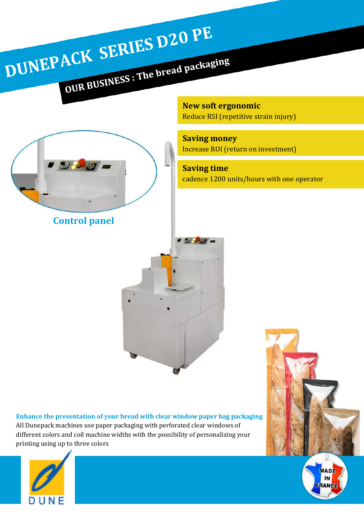**New soft ergonomic** Reduce RSI (repetitive strain injury)

**Saving money** Increase ROI (return on investment)

 $7/2$ 

**Saving time**  cadence 1200 units/hours with one operator





**Control panel**

DUNEPACK SERIES D20 PE

ACK SEAMER : The bread packaging